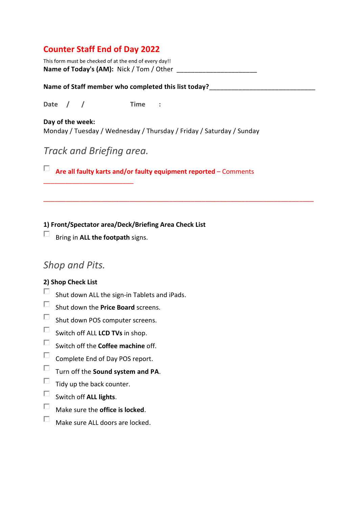### **Counter Staff End of Day 2022**

This form must be checked of at the end of every day!! **Name of Today's (AM):** Nick / Tom / Other

#### Name of Staff member who completed this list today?

**Date / / Time :**

**Day of the week:** Monday / Tuesday / Wednesday / Thursday / Friday / Saturday / Sunday

# *Track and Briefing area.*

\_\_\_\_\_\_\_\_\_\_\_\_\_\_\_\_\_\_\_\_\_\_\_\_\_

**Are all faulty karts and/or faulty equipment reported** – Comments

\_\_\_\_\_\_\_\_\_\_\_\_\_\_\_\_\_\_\_\_\_\_\_\_\_\_\_\_\_\_\_\_\_\_\_\_\_\_\_\_\_\_\_\_\_\_\_\_\_\_\_\_\_\_\_\_\_\_\_\_\_\_\_\_\_\_\_\_\_\_\_\_\_\_\_

**1) Front/Spectator area/Deck/Briefing Area Check List** 

Bring in **ALL the footpath** signs.

## *Shop and Pits.*

### **2) Shop Check List**

- $\Box$ Shut down ALL the sign-in Tablets and iPads.
- $\Box$ Shut down the **Price Board** screens.
- $\Box$ Shut down POS computer screens.
- $\Box$ Switch off ALL **LCD TVs** in shop.
- $\Box$ Switch off the **Coffee machine** off.
- $\Box$ Complete End of Day POS report.
- $\Box$ Turn off the **Sound system and PA**.
- $\Box$ Tidy up the back counter.
- $\Box$ Switch off **ALL lights**.
- $\Box$ Make sure the **office is locked**.
- $\Box$ Make sure ALL doors are locked.